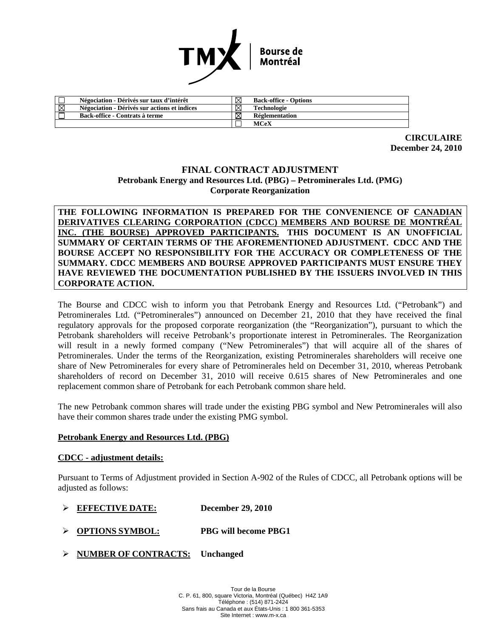

|   | Négociation - Dérivés sur taux d'intérêt     |   | <b>Back-office - Options</b> |
|---|----------------------------------------------|---|------------------------------|
| ⊠ | Négociation - Dérivés sur actions et indices | ⊠ | Technologie                  |
|   | Back-office - Contrats à terme               |   | Réglementation               |
|   |                                              |   | MCeX                         |

**CIRCULAIRE December 24, 2010** 

## **FINAL CONTRACT ADJUSTMENT Petrobank Energy and Resources Ltd. (PBG) – Petrominerales Ltd. (PMG) Corporate Reorganization**

**THE FOLLOWING INFORMATION IS PREPARED FOR THE CONVENIENCE OF CANADIAN DERIVATIVES CLEARING CORPORATION (CDCC) MEMBERS AND BOURSE DE MONTRÉAL INC. (THE BOURSE) APPROVED PARTICIPANTS. THIS DOCUMENT IS AN UNOFFICIAL SUMMARY OF CERTAIN TERMS OF THE AFOREMENTIONED ADJUSTMENT. CDCC AND THE BOURSE ACCEPT NO RESPONSIBILITY FOR THE ACCURACY OR COMPLETENESS OF THE SUMMARY. CDCC MEMBERS AND BOURSE APPROVED PARTICIPANTS MUST ENSURE THEY HAVE REVIEWED THE DOCUMENTATION PUBLISHED BY THE ISSUERS INVOLVED IN THIS CORPORATE ACTION.** 

The Bourse and CDCC wish to inform you that Petrobank Energy and Resources Ltd. ("Petrobank") and Petrominerales Ltd. ("Petrominerales") announced on December 21, 2010 that they have received the final regulatory approvals for the proposed corporate reorganization (the "Reorganization"), pursuant to which the Petrobank shareholders will receive Petrobank's proportionate interest in Petrominerales. The Reorganization will result in a newly formed company ("New Petrominerales") that will acquire all of the shares of Petrominerales. Under the terms of the Reorganization, existing Petrominerales shareholders will receive one share of New Petrominerales for every share of Petrominerales held on December 31, 2010, whereas Petrobank shareholders of record on December 31, 2010 will receive 0.615 shares of New Petrominerales and one replacement common share of Petrobank for each Petrobank common share held.

The new Petrobank common shares will trade under the existing PBG symbol and New Petrominerales will also have their common shares trade under the existing PMG symbol.

## **Petrobank Energy and Resources Ltd. (PBG)**

## **CDCC - adjustment details:**

Pursuant to Terms of Adjustment provided in Section A-902 of the Rules of CDCC, all Petrobank options will be adjusted as follows:

- ¾ **EFFECTIVE DATE: December 29, 2010**
- ¾ **OPTIONS SYMBOL: PBG will become PBG1**
- ¾ **NUMBER OF CONTRACTS: Unchanged**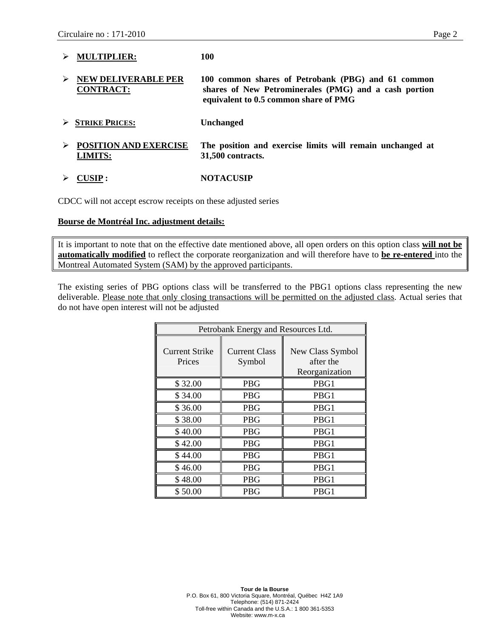| <b>MULTIPLIER:</b>                             | 100                                                                                                                                                  |
|------------------------------------------------|------------------------------------------------------------------------------------------------------------------------------------------------------|
| <b>NEW DELIVERABLE PER</b><br><b>CONTRACT:</b> | 100 common shares of Petrobank (PBG) and 61 common<br>shares of New Petrominerales (PMG) and a cash portion<br>equivalent to 0.5 common share of PMG |
| $\triangleright$ STRIKE PRICES:                | <b>Unchanged</b>                                                                                                                                     |
| <b>POSITION AND EXERCISE</b><br><b>LIMITS:</b> | The position and exercise limits will remain unchanged at<br>31,500 contracts.                                                                       |

¾ **CUSIP : NOTACUSIP** 

CDCC will not accept escrow receipts on these adjusted series

#### **Bourse de Montréal Inc. adjustment details:**

It is important to note that on the effective date mentioned above, all open orders on this option class **will not be automatically modified** to reflect the corporate reorganization and will therefore have to **be re-entered** into the Montreal Automated System (SAM) by the approved participants.

The existing series of PBG options class will be transferred to the PBG1 options class representing the new deliverable. Please note that only closing transactions will be permitted on the adjusted class. Actual series that do not have open interest will not be adjusted

| Petrobank Energy and Resources Ltd. |                                |                                                 |  |  |  |
|-------------------------------------|--------------------------------|-------------------------------------------------|--|--|--|
| Current Strike<br>Prices            | <b>Current Class</b><br>Symbol | New Class Symbol<br>after the<br>Reorganization |  |  |  |
| \$32.00                             | <b>PBG</b>                     | PBG1                                            |  |  |  |
| \$34.00                             | <b>PBG</b>                     | PBG1                                            |  |  |  |
| \$36.00                             | <b>PBG</b>                     | PBG1                                            |  |  |  |
| \$38.00                             | PBG                            | PBG1                                            |  |  |  |
| \$40.00                             | PBG                            | PBG1                                            |  |  |  |
| \$42.00                             | <b>PBG</b>                     | PBG1                                            |  |  |  |
| \$44.00                             | PBG                            | PBG1                                            |  |  |  |
| \$46.00                             | <b>PBG</b>                     | PBG1                                            |  |  |  |
| \$48.00                             | <b>PBG</b>                     | PBG1                                            |  |  |  |
| \$50.00                             | PBG                            | PBG1                                            |  |  |  |